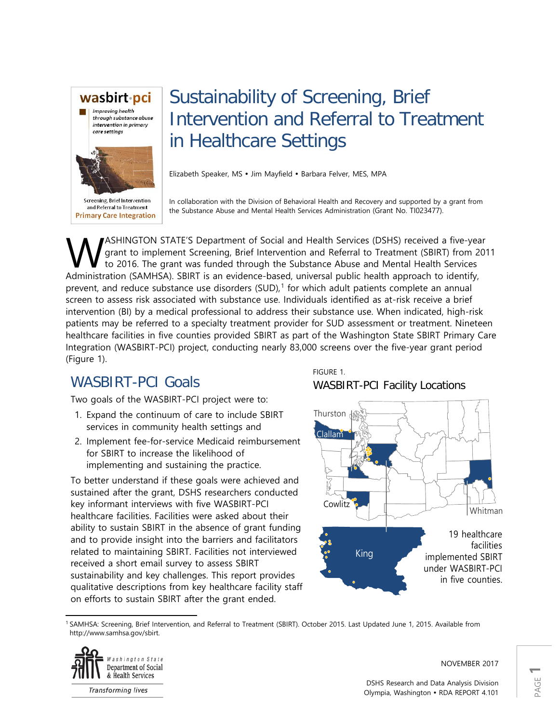

Sustainability of Screening, Brief Intervention and Referral to Treatment in Healthcare Settings

Elizabeth Speaker, MS · Jim Mayfield · Barbara Felver, MES, MPA

and Referral to Treatment **Primary Care Integration**  In collaboration with the Division of Behavioral Health and Recovery and supported by a grant from the Substance Abuse and Mental Health Services Administration (Grant No. TI023477).

ASHINGTON STATE'S Department of Social and Health Services (DSHS) received a five-year grant to implement Screening, Brief Intervention and Referral to Treatment (SBIRT) from 2011 to 2016. The grant was funded through the Substance Abuse and Mental Health Services **AMELINGTON STATE'S Department of Social and Health Services (DSHS) received a five-yearty dy grant to implement Screening, Brief Intervention and Referral to Treatment (SBIRT) from 2016. The grant was funded through the S** prevent, and reduce substance use disorders (SUD), [1](#page-0-0) for which adult patients complete an annual screen to assess risk associated with substance use. Individuals identified as at-risk receive a brief intervention (BI) by a medical professional to address their substance use. When indicated, high-risk patients may be referred to a specialty treatment provider for SUD assessment or treatment. Nineteen healthcare facilities in five counties provided SBIRT as part of the Washington State SBIRT Primary Care Integration (WASBIRT-PCI) project, conducting nearly 83,000 screens over the five-year grant period (Figure 1).

# WASBIRT-PCI Goals

Two goals of the WASBIRT-PCI project were to:

- 1. Expand the continuum of care to include SBIRT services in community health settings and
- 2. Implement fee-for-service Medicaid reimbursement for SBIRT to increase the likelihood of implementing and sustaining the practice.

To better understand if these goals were achieved and sustained after the grant, DSHS researchers conducted key informant interviews with five WASBIRT-PCI healthcare facilities. Facilities were asked about their ability to sustain SBIRT in the absence of grant funding and to provide insight into the barriers and facilitators related to maintaining SBIRT. Facilities not interviewed received a short email survey to assess SBIRT sustainability and key challenges. This report provides qualitative descriptions from key healthcare facility staff on efforts to sustain SBIRT after the grant ended.

FIGURE 1.

## WASBIRT-PCI Facility Locations



<span id="page-0-0"></span>l <sup>1</sup> SAMHSA: Screening, Brief Intervention, and Referral to Treatment (SBIRT). October 2015. Last Updated June 1, 2015. Available from http://www.samhsa.gov/sbirt.



NOVEMBER 2017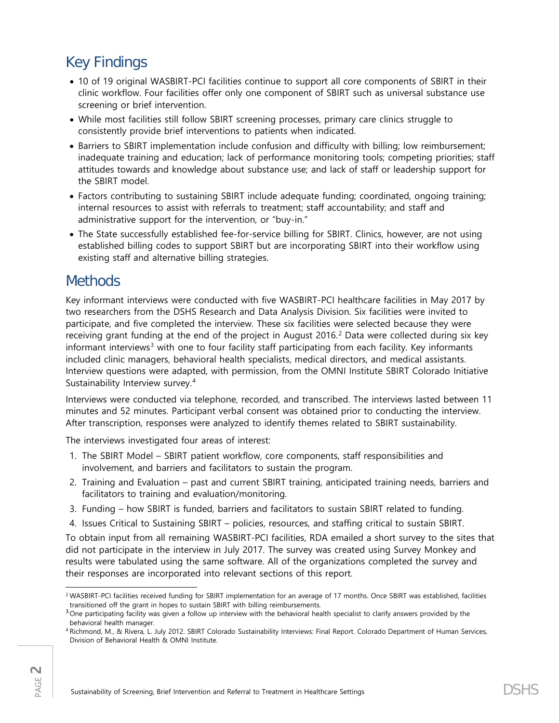# Key Findings

- 10 of 19 original WASBIRT-PCI facilities continue to support all core components of SBIRT in their clinic workflow. Four facilities offer only one component of SBIRT such as universal substance use screening or brief intervention.
- While most facilities still follow SBIRT screening processes, primary care clinics struggle to consistently provide brief interventions to patients when indicated.
- Barriers to SBIRT implementation include confusion and difficulty with billing; low reimbursement; inadequate training and education; lack of performance monitoring tools; competing priorities; staff attitudes towards and knowledge about substance use; and lack of staff or leadership support for the SBIRT model.
- Factors contributing to sustaining SBIRT include adequate funding; coordinated, ongoing training; internal resources to assist with referrals to treatment; staff accountability; and staff and administrative support for the intervention, or "buy-in."
- The State successfully established fee-for-service billing for SBIRT. Clinics, however, are not using established billing codes to support SBIRT but are incorporating SBIRT into their workflow using existing staff and alternative billing strategies.

## **Methods**

Key informant interviews were conducted with five WASBIRT-PCI healthcare facilities in May 2017 by two researchers from the DSHS Research and Data Analysis Division. Six facilities were invited to participate, and five completed the interview. These six facilities were selected because they were receiving grant funding at the end of the project in August 2016. [2](#page-1-0) Data were collected during six key informant interviews<sup>[3](#page-1-1)</sup> with one to four facility staff participating from each facility. Key informants included clinic managers, behavioral health specialists, medical directors, and medical assistants. Interview questions were adapted, with permission, from the OMNI Institute SBIRT Colorado Initiative Sustainability Interview survey. [4](#page-1-2)

Interviews were conducted via telephone, recorded, and transcribed. The interviews lasted between 11 minutes and 52 minutes. Participant verbal consent was obtained prior to conducting the interview. After transcription, responses were analyzed to identify themes related to SBIRT sustainability.

The interviews investigated four areas of interest:

- 1. The SBIRT Model SBIRT patient workflow, core components, staff responsibilities and involvement, and barriers and facilitators to sustain the program.
- 2. Training and Evaluation past and current SBIRT training, anticipated training needs, barriers and facilitators to training and evaluation/monitoring.
- 3. Funding how SBIRT is funded, barriers and facilitators to sustain SBIRT related to funding.
- 4. Issues Critical to Sustaining SBIRT policies, resources, and staffing critical to sustain SBIRT.

To obtain input from all remaining WASBIRT-PCI facilities, RDA emailed a short survey to the sites that did not participate in the interview in July 2017. The survey was created using Survey Monkey and results were tabulated using the same software. All of the organizations completed the survey and their responses are incorporated into relevant sections of this report.

<span id="page-1-0"></span> $\overline{\phantom{a}}$ <sup>2</sup> WASBIRT-PCI facilities received funding for SBIRT implementation for an average of 17 months. Once SBIRT was established, facilities transitioned off the grant in hopes to sustain SBIRT with billing reimbursements.

<span id="page-1-1"></span> $3$  One participating facility was given a follow up interview with the behavioral health specialist to clarify answers provided by the behavioral health manager.

<span id="page-1-2"></span><sup>4</sup> Richmond, M., & Rivera, L. July 2012. SBIRT Colorado Sustainability Interviews: Final Report. Colorado Department of Human Services, Division of Behavioral Health & OMNI Institute.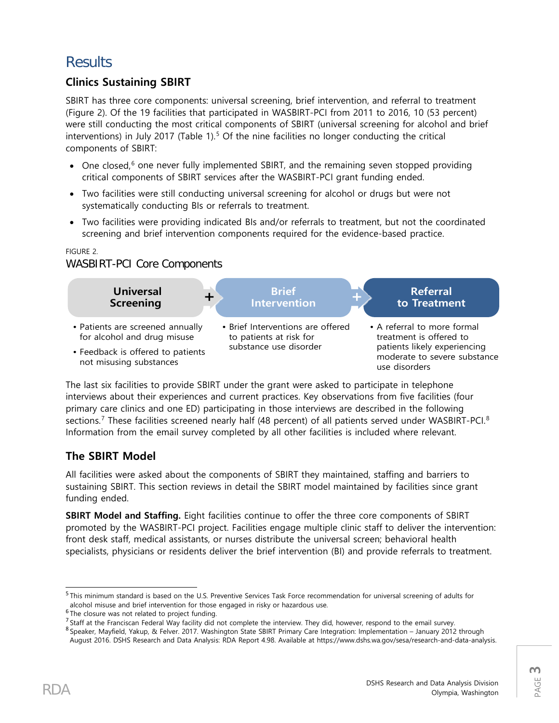## **Results**

## **Clinics Sustaining SBIRT**

SBIRT has three core components: universal screening, brief intervention, and referral to treatment (Figure 2). Of the 19 facilities that participated in WASBIRT-PCI from 2011 to 2016, 10 (53 percent) were still conducting the most critical components of SBIRT (universal screening for alcohol and brief interventions) in July 2017 (Table 1).<sup>[5](#page-2-0)</sup> Of the nine facilities no longer conducting the critical components of SBIRT:

- One closed, $6$  one never fully implemented SBIRT, and the remaining seven stopped providing critical components of SBIRT services after the WASBIRT-PCI grant funding ended.
- Two facilities were still conducting universal screening for alcohol or drugs but were not systematically conducting BIs or referrals to treatment.
- Two facilities were providing indicated BIs and/or referrals to treatment, but not the coordinated screening and brief intervention components required for the evidence-based practice.

#### FIGURE 2.

## WASBIRT-PCI Core Components



The last six facilities to provide SBIRT under the grant were asked to participate in telephone interviews about their experiences and current practices. Key observations from five facilities (four primary care clinics and one ED) participating in those interviews are described in the following sections.<sup>[7](#page-2-2)</sup> These facilities screened nearly half (4[8](#page-2-3) percent) of all patients served under WASBIRT-PCI.<sup>8</sup> Information from the email survey completed by all other facilities is included where relevant.

## **The SBIRT Model**

All facilities were asked about the components of SBIRT they maintained, staffing and barriers to sustaining SBIRT. This section reviews in detail the SBIRT model maintained by facilities since grant funding ended.

**SBIRT Model and Staffing.** Eight facilities continue to offer the three core components of SBIRT promoted by the WASBIRT-PCI project. Facilities engage multiple clinic staff to deliver the intervention: front desk staff, medical assistants, or nurses distribute the universal screen; behavioral health specialists, physicians or residents deliver the brief intervention (BI) and provide referrals to treatment.

<span id="page-2-0"></span> <sup>5</sup> This minimum standard is based on the U.S. Preventive Services Task Force recommendation for universal screening of adults for alcohol misuse and brief intervention for those engaged in risky or hazardous use.<br> $6$ The closure was not related to project funding.

<span id="page-2-2"></span><span id="page-2-1"></span><sup>&</sup>lt;sup>7</sup> Staff at the Franciscan Federal Way facility did not complete the interview. They did, however, respond to the email survey.<br><sup>8</sup> Speaker, Mayfield, Yakup, & Felver. 2017. Washington State SBIRT Primary Care Integratio

<span id="page-2-3"></span>August 2016. DSHS Research and Data Analysis: RDA Report 4.98. Available at https://www.dshs.wa.gov/sesa/research-and-data-analysis.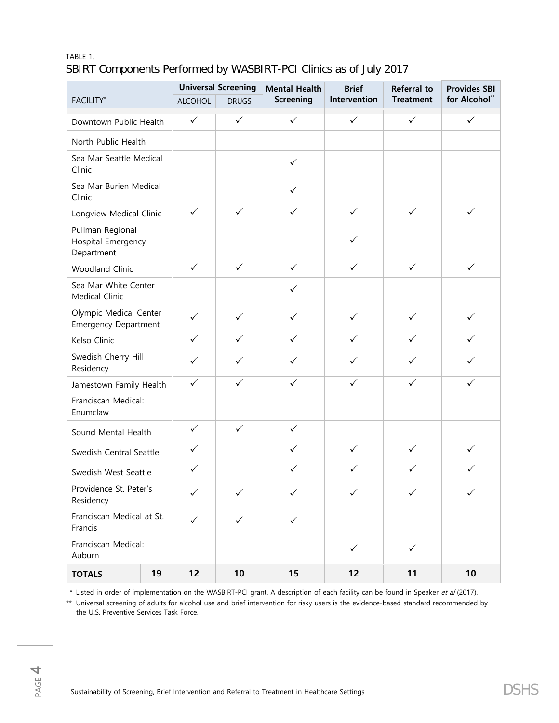### TABLE 1. SBIRT Components Performed by WASBIRT-PCI Clinics as of July 2017

| <b>FACILITY*</b>                                      |    | <b>Universal Screening</b> |              | <b>Mental Health</b> | <b>Brief</b> | <b>Referral to</b> | <b>Provides SBI</b> |
|-------------------------------------------------------|----|----------------------------|--------------|----------------------|--------------|--------------------|---------------------|
|                                                       |    | <b>ALCOHOL</b>             | <b>DRUGS</b> | <b>Screening</b>     | Intervention | <b>Treatment</b>   | for Alcohol**       |
| Downtown Public Health                                |    | $\checkmark$               | $\checkmark$ | $\checkmark$         | $\checkmark$ | $\checkmark$       | $\checkmark$        |
| North Public Health                                   |    |                            |              |                      |              |                    |                     |
| Sea Mar Seattle Medical<br>Clinic                     |    |                            |              | $\checkmark$         |              |                    |                     |
| Sea Mar Burien Medical<br>Clinic                      |    |                            |              | $\checkmark$         |              |                    |                     |
| Longview Medical Clinic                               |    | $\checkmark$               | $\checkmark$ | $\checkmark$         | $\checkmark$ | $\checkmark$       | $\checkmark$        |
| Pullman Regional<br>Hospital Emergency<br>Department  |    |                            |              |                      | ✓            |                    |                     |
| <b>Woodland Clinic</b>                                |    | $\checkmark$               | $\checkmark$ | $\checkmark$         | $\checkmark$ | $\checkmark$       | $\checkmark$        |
| Sea Mar White Center<br>Medical Clinic                |    |                            |              | $\checkmark$         |              |                    |                     |
| Olympic Medical Center<br><b>Emergency Department</b> |    | $\checkmark$               | $\checkmark$ | $\checkmark$         | $\checkmark$ | $\checkmark$       | $\checkmark$        |
| Kelso Clinic                                          |    | $\checkmark$               | $\checkmark$ | $\checkmark$         | $\checkmark$ | $\checkmark$       | $\checkmark$        |
| Swedish Cherry Hill<br>Residency                      |    | $\checkmark$               | $\checkmark$ | $\checkmark$         | $\checkmark$ | $\checkmark$       | ✓                   |
| Jamestown Family Health                               |    | $\checkmark$               | $\checkmark$ | $\checkmark$         | $\checkmark$ | $\checkmark$       | $\checkmark$        |
| Franciscan Medical:<br>Enumclaw                       |    |                            |              |                      |              |                    |                     |
| Sound Mental Health                                   |    | $\checkmark$               | $\checkmark$ | $\checkmark$         |              |                    |                     |
| Swedish Central Seattle                               |    | $\checkmark$               |              | $\checkmark$         | $\checkmark$ | $\checkmark$       | $\checkmark$        |
| Swedish West Seattle                                  |    | $\checkmark$               |              | $\checkmark$         | $\checkmark$ | $\checkmark$       | ✓                   |
| Providence St. Peter's<br>Residency                   |    | $\checkmark$               | $\checkmark$ | $\checkmark$         | $\checkmark$ | $\checkmark$       | $\checkmark$        |
| Franciscan Medical at St.<br>Francis                  |    | $\checkmark$               | $\checkmark$ | $\checkmark$         |              |                    |                     |
| Franciscan Medical:<br>Auburn                         |    |                            |              |                      | $\checkmark$ | $\checkmark$       |                     |
| <b>TOTALS</b>                                         | 19 | 12                         | 10           | 15                   | 12           | 11                 | 10                  |

\* Listed in order of implementation on the WASBIRT-PCI grant. A description of each facility can be found in Speaker et al (2017).

\*\* Universal screening of adults for alcohol use and brief intervention for risky users is the evidence-based standard recommended by the U.S. Preventive Services Task Force.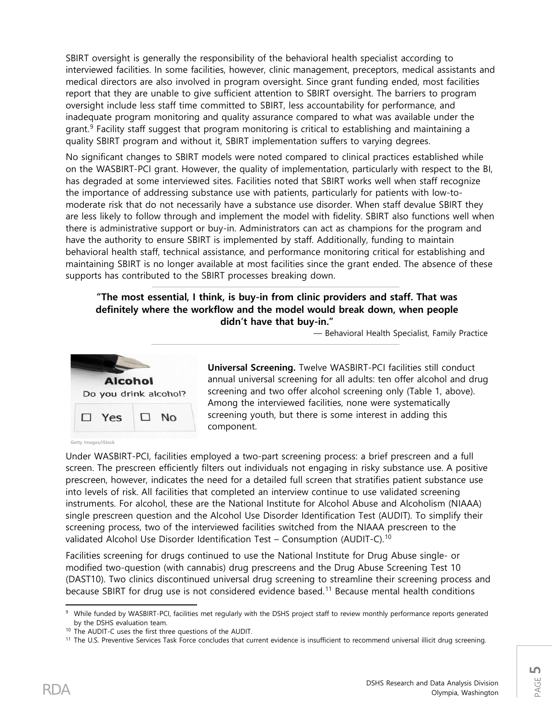SBIRT oversight is generally the responsibility of the behavioral health specialist according to interviewed facilities. In some facilities, however, clinic management, preceptors, medical assistants and medical directors are also involved in program oversight. Since grant funding ended, most facilities report that they are unable to give sufficient attention to SBIRT oversight. The barriers to program oversight include less staff time committed to SBIRT, less accountability for performance, and inadequate program monitoring and quality assurance compared to what was available under the grant.<sup>[9](#page-4-0)</sup> Facility staff suggest that program monitoring is critical to establishing and maintaining a quality SBIRT program and without it, SBIRT implementation suffers to varying degrees.

No significant changes to SBIRT models were noted compared to clinical practices established while on the WASBIRT-PCI grant. However, the quality of implementation, particularly with respect to the BI, has degraded at some interviewed sites. Facilities noted that SBIRT works well when staff recognize the importance of addressing substance use with patients, particularly for patients with low-tomoderate risk that do not necessarily have a substance use disorder. When staff devalue SBIRT they are less likely to follow through and implement the model with fidelity. SBIRT also functions well when there is administrative support or buy-in. Administrators can act as champions for the program and have the authority to ensure SBIRT is implemented by staff. Additionally, funding to maintain behavioral health staff, technical assistance, and performance monitoring critical for establishing and maintaining SBIRT is no longer available at most facilities since the grant ended. The absence of these supports has contributed to the SBIRT processes breaking down.

#### **"The most essential, I think, is buy-in from clinic providers and staff. That was definitely where the workflow and the model would break down, when people didn't have that buy-in."**

— Behavioral Health Specialist, Family Practice



**Universal Screening.** Twelve WASBIRT-PCI facilities still conduct annual universal screening for all adults: ten offer alcohol and drug screening and two offer alcohol screening only (Table 1, above). Among the interviewed facilities, none were systematically screening youth, but there is some interest in adding this component.

**Getty Images/iStock**

Under WASBIRT-PCI, facilities employed a two-part screening process: a brief prescreen and a full screen. The prescreen efficiently filters out individuals not engaging in risky substance use. A positive prescreen, however, indicates the need for a detailed full screen that stratifies patient substance use into levels of risk. All facilities that completed an interview continue to use validated screening instruments. For alcohol, these are the National Institute for Alcohol Abuse and Alcoholism (NIAAA) single prescreen question and the Alcohol Use Disorder Identification Test (AUDIT). To simplify their screening process, two of the interviewed facilities switched from the NIAAA prescreen to the validated Alcohol Use Disorder Identification Test – Consumption (AUDIT-C).<sup>[10](#page-4-1)</sup>

Facilities screening for drugs continued to use the National Institute for Drug Abuse single- or modified two-question (with cannabis) drug prescreens and the Drug Abuse Screening Test 10 (DAST10). Two clinics discontinued universal drug screening to streamline their screening process and because SBIRT for drug use is not considered evidence based.[11](#page-4-2) Because mental health conditions

<span id="page-4-0"></span>l 9 While funded by WASBIRT-PCI, facilities met regularly with the DSHS project staff to review monthly performance reports generated by the DSHS evaluation team.

<sup>10</sup> The AUDIT-C uses the first three questions of the AUDIT.

<span id="page-4-2"></span><span id="page-4-1"></span><sup>&</sup>lt;sup>11</sup> The U.S. Preventive Services Task Force concludes that current evidence is insufficient to recommend universal illicit drug screening.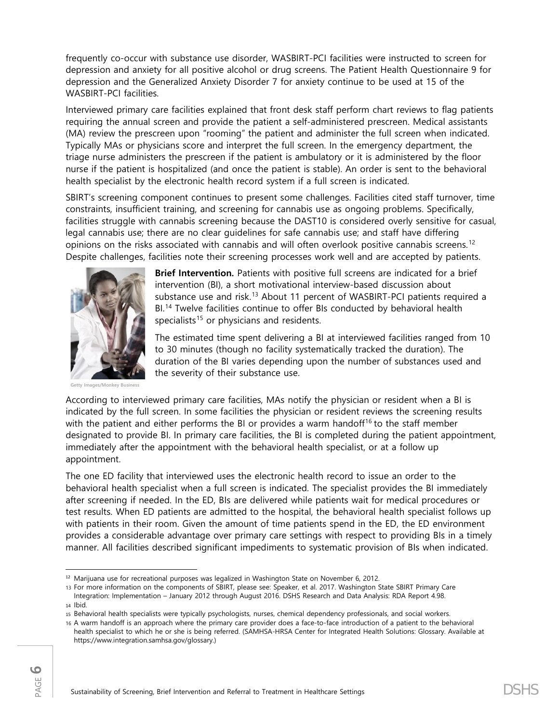frequently co-occur with substance use disorder, WASBIRT-PCI facilities were instructed to screen for depression and anxiety for all positive alcohol or drug screens. The Patient Health Questionnaire 9 for depression and the Generalized Anxiety Disorder 7 for anxiety continue to be used at 15 of the WASBIRT-PCI facilities.

Interviewed primary care facilities explained that front desk staff perform chart reviews to flag patients requiring the annual screen and provide the patient a self-administered prescreen. Medical assistants (MA) review the prescreen upon "rooming" the patient and administer the full screen when indicated. Typically MAs or physicians score and interpret the full screen. In the emergency department, the triage nurse administers the prescreen if the patient is ambulatory or it is administered by the floor nurse if the patient is hospitalized (and once the patient is stable). An order is sent to the behavioral health specialist by the electronic health record system if a full screen is indicated.

SBIRT's screening component continues to present some challenges. Facilities cited staff turnover, time constraints, insufficient training, and screening for cannabis use as ongoing problems. Specifically, facilities struggle with cannabis screening because the DAST10 is considered overly sensitive for casual, legal cannabis use; there are no clear guidelines for safe cannabis use; and staff have differing opinions on the risks associated with cannabis and will often overlook positive cannabis screens.<sup>[12](#page-5-0)</sup> Despite challenges, facilities note their screening processes work well and are accepted by patients.



**Brief Intervention.** Patients with positive full screens are indicated for a brief intervention (BI), a short motivational interview-based discussion about substance use and risk.<sup>[13](#page-5-1)</sup> About 11 percent of WASBIRT-PCI patients required a BI.<sup>[14](#page-5-2)</sup> Twelve facilities continue to offer BIs conducted by behavioral health specialists<sup>[15](#page-5-3)</sup> or physicians and residents.

The estimated time spent delivering a BI at interviewed facilities ranged from 10 to 30 minutes (though no facility systematically tracked the duration). The duration of the BI varies depending upon the number of substances used and the severity of their substance use.

**Getty Images/Monkey Business**

According to interviewed primary care facilities, MAs notify the physician or resident when a BI is indicated by the full screen. In some facilities the physician or resident reviews the screening results with the patient and either performs the BI or provides a warm handoff<sup>[16](#page-5-4)</sup> to the staff member designated to provide BI. In primary care facilities, the BI is completed during the patient appointment, immediately after the appointment with the behavioral health specialist, or at a follow up appointment.

The one ED facility that interviewed uses the electronic health record to issue an order to the behavioral health specialist when a full screen is indicated. The specialist provides the BI immediately after screening if needed. In the ED, BIs are delivered while patients wait for medical procedures or test results. When ED patients are admitted to the hospital, the behavioral health specialist follows up with patients in their room. Given the amount of time patients spend in the ED, the ED environment provides a considerable advantage over primary care settings with respect to providing BIs in a timely manner. All facilities described significant impediments to systematic provision of BIs when indicated.

<span id="page-5-1"></span>13 For more information on the components of SBIRT, please see: Speaker, et al. 2017. Washington State SBIRT Primary Care Integration: Implementation – January 2012 through August 2016. DSHS Research and Data Analysis: RDA Report 4.98.

<span id="page-5-0"></span><sup>&</sup>lt;sup>12</sup> Marijuana use for recreational purposes was legalized in Washington State on November 6, 2012.

<span id="page-5-2"></span><sup>14</sup> Ibid.

<span id="page-5-3"></span><sup>15</sup> Behavioral health specialists were typically psychologists, nurses, chemical dependency professionals, and social workers.

<span id="page-5-4"></span><sup>16</sup> A warm handoff is an approach where the primary care provider does a face-to-face introduction of a patient to the behavioral health specialist to which he or she is being referred. (SAMHSA-HRSA Center for Integrated Health Solutions: Glossary. Available at https://www.integration.samhsa.gov/glossary.)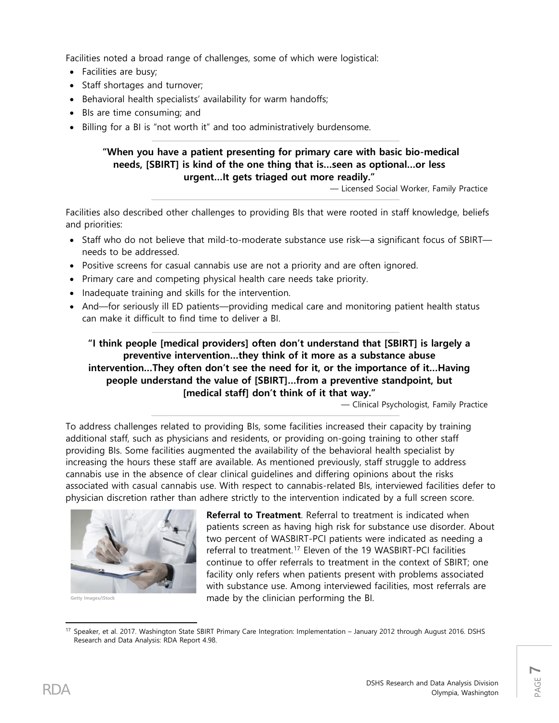Facilities noted a broad range of challenges, some of which were logistical:

- Facilities are busy;
- Staff shortages and turnover;
- Behavioral health specialists' availability for warm handoffs;
- BIs are time consuming; and
- Billing for a BI is "not worth it" and too administratively burdensome.

#### **"When you have a patient presenting for primary care with basic bio-medical needs, [SBIRT] is kind of the one thing that is…seen as optional…or less urgent…It gets triaged out more readily."**

— Licensed Social Worker, Family Practice

Facilities also described other challenges to providing BIs that were rooted in staff knowledge, beliefs and priorities:

- Staff who do not believe that mild-to-moderate substance use risk—a significant focus of SBIRT needs to be addressed.
- Positive screens for casual cannabis use are not a priority and are often ignored.
- Primary care and competing physical health care needs take priority.
- Inadequate training and skills for the intervention.
- And—for seriously ill ED patients—providing medical care and monitoring patient health status can make it difficult to find time to deliver a BI.

**"I think people [medical providers] often don't understand that [SBIRT] is largely a preventive intervention…they think of it more as a substance abuse intervention…They often don't see the need for it, or the importance of it…Having people understand the value of [SBIRT]…from a preventive standpoint, but [medical staff] don't think of it that way."**

— Clinical Psychologist, Family Practice

To address challenges related to providing BIs, some facilities increased their capacity by training additional staff, such as physicians and residents, or providing on-going training to other staff providing BIs. Some facilities augmented the availability of the behavioral health specialist by increasing the hours these staff are available. As mentioned previously, staff struggle to address cannabis use in the absence of clear clinical guidelines and differing opinions about the risks associated with casual cannabis use. With respect to cannabis-related BIs, interviewed facilities defer to physician discretion rather than adhere strictly to the intervention indicated by a full screen score.



**Getty Images/iStock**

**Referral to Treatment**. Referral to treatment is indicated when patients screen as having high risk for substance use disorder. About two percent of WASBIRT-PCI patients were indicated as needing a referral to treatment. [17](#page-6-0) Eleven of the 19 WASBIRT-PCI facilities continue to offer referrals to treatment in the context of SBIRT; one facility only refers when patients present with problems associated with substance use. Among interviewed facilities, most referrals are made by the clinician performing the BI.

<span id="page-6-0"></span>l <sup>17</sup> Speaker, et al. 2017. Washington State SBIRT Primary Care Integration: Implementation – January 2012 through August 2016. DSHS Research and Data Analysis: RDA Report 4.98.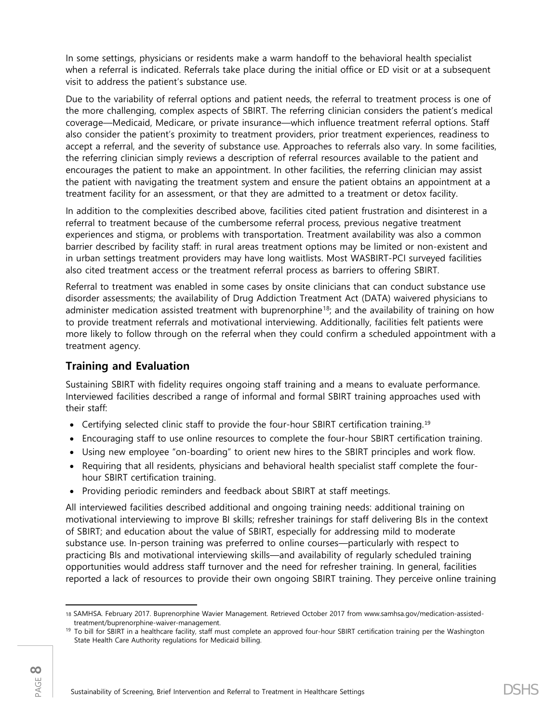In some settings, physicians or residents make a warm handoff to the behavioral health specialist when a referral is indicated. Referrals take place during the initial office or ED visit or at a subsequent visit to address the patient's substance use.

Due to the variability of referral options and patient needs, the referral to treatment process is one of the more challenging, complex aspects of SBIRT. The referring clinician considers the patient's medical coverage—Medicaid, Medicare, or private insurance—which influence treatment referral options. Staff also consider the patient's proximity to treatment providers, prior treatment experiences, readiness to accept a referral, and the severity of substance use. Approaches to referrals also vary. In some facilities, the referring clinician simply reviews a description of referral resources available to the patient and encourages the patient to make an appointment. In other facilities, the referring clinician may assist the patient with navigating the treatment system and ensure the patient obtains an appointment at a treatment facility for an assessment, or that they are admitted to a treatment or detox facility.

In addition to the complexities described above, facilities cited patient frustration and disinterest in a referral to treatment because of the cumbersome referral process, previous negative treatment experiences and stigma, or problems with transportation. Treatment availability was also a common barrier described by facility staff: in rural areas treatment options may be limited or non-existent and in urban settings treatment providers may have long waitlists. Most WASBIRT-PCI surveyed facilities also cited treatment access or the treatment referral process as barriers to offering SBIRT.

Referral to treatment was enabled in some cases by onsite clinicians that can conduct substance use disorder assessments; the availability of Drug Addiction Treatment Act (DATA) waivered physicians to administer medication assisted treatment with buprenorphine<sup>[18](#page-7-0)</sup>; and the availability of training on how to provide treatment referrals and motivational interviewing. Additionally, facilities felt patients were more likely to follow through on the referral when they could confirm a scheduled appointment with a treatment agency.

## **Training and Evaluation**

Sustaining SBIRT with fidelity requires ongoing staff training and a means to evaluate performance. Interviewed facilities described a range of informal and formal SBIRT training approaches used with their staff:

- Certifying selected clinic staff to provide the four-hour SBIRT certification training.<sup>[19](#page-7-1)</sup>
- Encouraging staff to use online resources to complete the four-hour SBIRT certification training.
- Using new employee "on-boarding" to orient new hires to the SBIRT principles and work flow.
- Requiring that all residents, physicians and behavioral health specialist staff complete the fourhour SBIRT certification training.
- Providing periodic reminders and feedback about SBIRT at staff meetings.

All interviewed facilities described additional and ongoing training needs: additional training on motivational interviewing to improve BI skills; refresher trainings for staff delivering BIs in the context of SBIRT; and education about the value of SBIRT, especially for addressing mild to moderate substance use. In-person training was preferred to online courses—particularly with respect to practicing BIs and motivational interviewing skills—and availability of regularly scheduled training opportunities would address staff turnover and the need for refresher training. In general, facilities reported a lack of resources to provide their own ongoing SBIRT training. They perceive online training

<span id="page-7-0"></span>l 18 SAMHSA. February 2017. Buprenorphine Wavier Management. Retrieved October 2017 from www.samhsa.gov/medication-assistedtreatment/buprenorphine-waiver-management.

<span id="page-7-1"></span><sup>&</sup>lt;sup>19</sup> To bill for SBIRT in a healthcare facility, staff must complete an approved four-hour SBIRT certification training per the Washington State Health Care Authority regulations for Medicaid billing.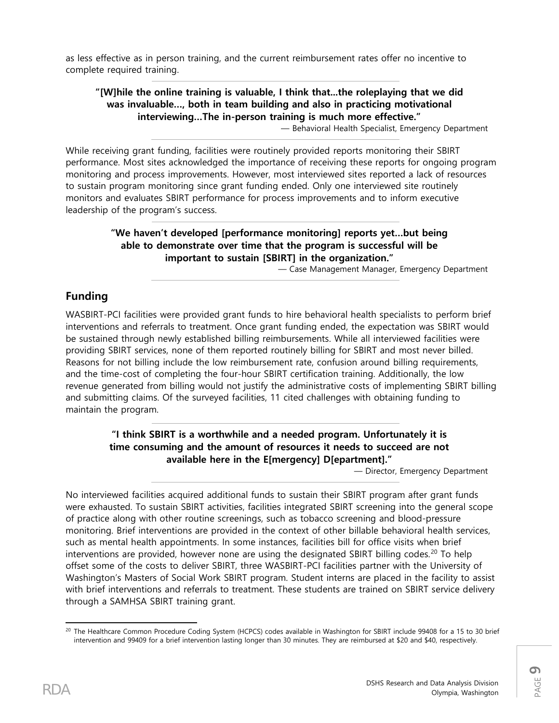as less effective as in person training, and the current reimbursement rates offer no incentive to complete required training.

## **"[W]hile the online training is valuable, I think that...the roleplaying that we did was invaluable…, both in team building and also in practicing motivational interviewing…The in-person training is much more effective."**

— Behavioral Health Specialist, Emergency Department

While receiving grant funding, facilities were routinely provided reports monitoring their SBIRT performance. Most sites acknowledged the importance of receiving these reports for ongoing program monitoring and process improvements. However, most interviewed sites reported a lack of resources to sustain program monitoring since grant funding ended. Only one interviewed site routinely monitors and evaluates SBIRT performance for process improvements and to inform executive leadership of the program's success.

#### **"We haven't developed [performance monitoring] reports yet…but being able to demonstrate over time that the program is successful will be important to sustain [SBIRT] in the organization."**

— Case Management Manager, Emergency Department

### **Funding**

WASBIRT-PCI facilities were provided grant funds to hire behavioral health specialists to perform brief interventions and referrals to treatment. Once grant funding ended, the expectation was SBIRT would be sustained through newly established billing reimbursements. While all interviewed facilities were providing SBIRT services, none of them reported routinely billing for SBIRT and most never billed. Reasons for not billing include the low reimbursement rate, confusion around billing requirements, and the time-cost of completing the four-hour SBIRT certification training. Additionally, the low revenue generated from billing would not justify the administrative costs of implementing SBIRT billing and submitting claims. Of the surveyed facilities, 11 cited challenges with obtaining funding to maintain the program.

#### **"I think SBIRT is a worthwhile and a needed program. Unfortunately it is time consuming and the amount of resources it needs to succeed are not available here in the E[mergency] D[epartment]."**

— Director, Emergency Department

No interviewed facilities acquired additional funds to sustain their SBIRT program after grant funds were exhausted. To sustain SBIRT activities, facilities integrated SBIRT screening into the general scope of practice along with other routine screenings, such as tobacco screening and blood-pressure monitoring. Brief interventions are provided in the context of other billable behavioral health services, such as mental health appointments. In some instances, facilities bill for office visits when brief interventions are provided, however none are using the designated SBIRT billing codes.<sup>[20](#page-8-0)</sup> To help offset some of the costs to deliver SBIRT, three WASBIRT-PCI facilities partner with the University of Washington's Masters of Social Work SBIRT program. Student interns are placed in the facility to assist with brief interventions and referrals to treatment. These students are trained on SBIRT service delivery through a SAMHSA SBIRT training grant.

<span id="page-8-0"></span>l <sup>20</sup> The Healthcare Common Procedure Coding System (HCPCS) codes available in Washington for SBIRT include 99408 for a 15 to 30 brief intervention and 99409 for a brief intervention lasting longer than 30 minutes. They are reimbursed at \$20 and \$40, respectively.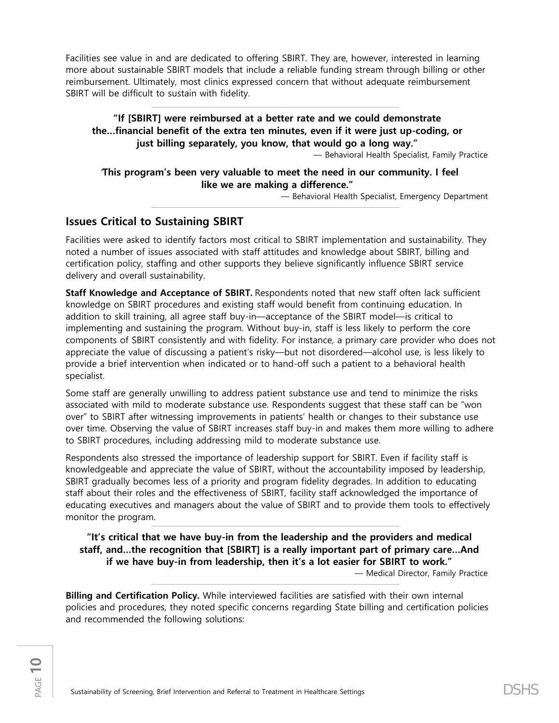Facilities see value in and are dedicated to offering SBIRT. They are, however, interested in learning more about sustainable SBIRT models that include a reliable funding stream through billing or other reimbursement. Ultimately, most clinics expressed concern that without adequate reimbursement SBIRT will be difficult to sustain with fidelity.

### **"If [SBIRT] were reimbursed at a better rate and we could demonstrate the…financial benefit of the extra ten minutes, even if it were just up-coding, or just billing separately, you know, that would go a long way."**

— Behavioral Health Specialist, Family Practice

#### "**This program's been very valuable to meet the need in our community. I feel like we are making a difference."**

— Behavioral Health Specialist, Emergency Department

## **Issues Critical to Sustaining SBIRT**

Facilities were asked to identify factors most critical to SBIRT implementation and sustainability. They noted a number of issues associated with staff attitudes and knowledge about SBIRT, billing and certification policy, staffing and other supports they believe significantly influence SBIRT service delivery and overall sustainability.

**Staff Knowledge and Acceptance of SBIRT.** Respondents noted that new staff often lack sufficient knowledge on SBIRT procedures and existing staff would benefit from continuing education. In addition to skill training, all agree staff buy-in—acceptance of the SBIRT model—is critical to implementing and sustaining the program. Without buy-in, staff is less likely to perform the core components of SBIRT consistently and with fidelity. For instance, a primary care provider who does not appreciate the value of discussing a patient's risky—but not disordered—alcohol use, is less likely to provide a brief intervention when indicated or to hand-off such a patient to a behavioral health specialist.

Some staff are generally unwilling to address patient substance use and tend to minimize the risks associated with mild to moderate substance use. Respondents suggest that these staff can be "won over" to SBIRT after witnessing improvements in patients' health or changes to their substance use over time. Observing the value of SBIRT increases staff buy-in and makes them more willing to adhere to SBIRT procedures, including addressing mild to moderate substance use.

Respondents also stressed the importance of leadership support for SBIRT. Even if facility staff is knowledgeable and appreciate the value of SBIRT, without the accountability imposed by leadership, SBIRT gradually becomes less of a priority and program fidelity degrades. In addition to educating staff about their roles and the effectiveness of SBIRT, facility staff acknowledged the importance of educating executives and managers about the value of SBIRT and to provide them tools to effectively monitor the program.

**"It's critical that we have buy-in from the leadership and the providers and medical staff, and…the recognition that [SBIRT] is a really important part of primary care…And if we have buy-in from leadership, then it's a lot easier for SBIRT to work."**

— Medical Director, Family Practice

**Billing and Certification Policy.** While interviewed facilities are satisfied with their own internal policies and procedures, they noted specific concerns regarding State billing and certification policies and recommended the following solutions: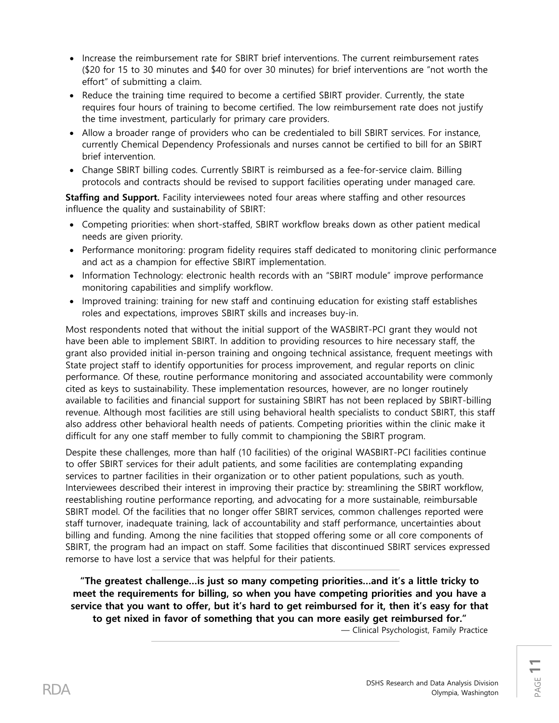- Increase the reimbursement rate for SBIRT brief interventions. The current reimbursement rates (\$20 for 15 to 30 minutes and \$40 for over 30 minutes) for brief interventions are "not worth the effort" of submitting a claim.
- Reduce the training time required to become a certified SBIRT provider. Currently, the state requires four hours of training to become certified. The low reimbursement rate does not justify the time investment, particularly for primary care providers.
- Allow a broader range of providers who can be credentialed to bill SBIRT services. For instance, currently Chemical Dependency Professionals and nurses cannot be certified to bill for an SBIRT brief intervention.
- Change SBIRT billing codes. Currently SBIRT is reimbursed as a fee-for-service claim. Billing protocols and contracts should be revised to support facilities operating under managed care.

**Staffing and Support.** Facility interviewees noted four areas where staffing and other resources influence the quality and sustainability of SBIRT:

- Competing priorities: when short-staffed, SBIRT workflow breaks down as other patient medical needs are given priority.
- Performance monitoring: program fidelity requires staff dedicated to monitoring clinic performance and act as a champion for effective SBIRT implementation.
- Information Technology: electronic health records with an "SBIRT module" improve performance monitoring capabilities and simplify workflow.
- Improved training: training for new staff and continuing education for existing staff establishes roles and expectations, improves SBIRT skills and increases buy-in.

Most respondents noted that without the initial support of the WASBIRT-PCI grant they would not have been able to implement SBIRT. In addition to providing resources to hire necessary staff, the grant also provided initial in-person training and ongoing technical assistance, frequent meetings with State project staff to identify opportunities for process improvement, and regular reports on clinic performance. Of these, routine performance monitoring and associated accountability were commonly cited as keys to sustainability. These implementation resources, however, are no longer routinely available to facilities and financial support for sustaining SBIRT has not been replaced by SBIRT-billing revenue. Although most facilities are still using behavioral health specialists to conduct SBIRT, this staff also address other behavioral health needs of patients. Competing priorities within the clinic make it difficult for any one staff member to fully commit to championing the SBIRT program.

Despite these challenges, more than half (10 facilities) of the original WASBIRT-PCI facilities continue to offer SBIRT services for their adult patients, and some facilities are contemplating expanding services to partner facilities in their organization or to other patient populations, such as youth. Interviewees described their interest in improving their practice by: streamlining the SBIRT workflow, reestablishing routine performance reporting, and advocating for a more sustainable, reimbursable SBIRT model. Of the facilities that no longer offer SBIRT services, common challenges reported were staff turnover, inadequate training, lack of accountability and staff performance, uncertainties about billing and funding. Among the nine facilities that stopped offering some or all core components of SBIRT, the program had an impact on staff. Some facilities that discontinued SBIRT services expressed remorse to have lost a service that was helpful for their patients.

**"The greatest challenge…is just so many competing priorities…and it's a little tricky to meet the requirements for billing, so when you have competing priorities and you have a service that you want to offer, but it's hard to get reimbursed for it, then it's easy for that to get nixed in favor of something that you can more easily get reimbursed for."**

— Clinical Psychologist, Family Practice